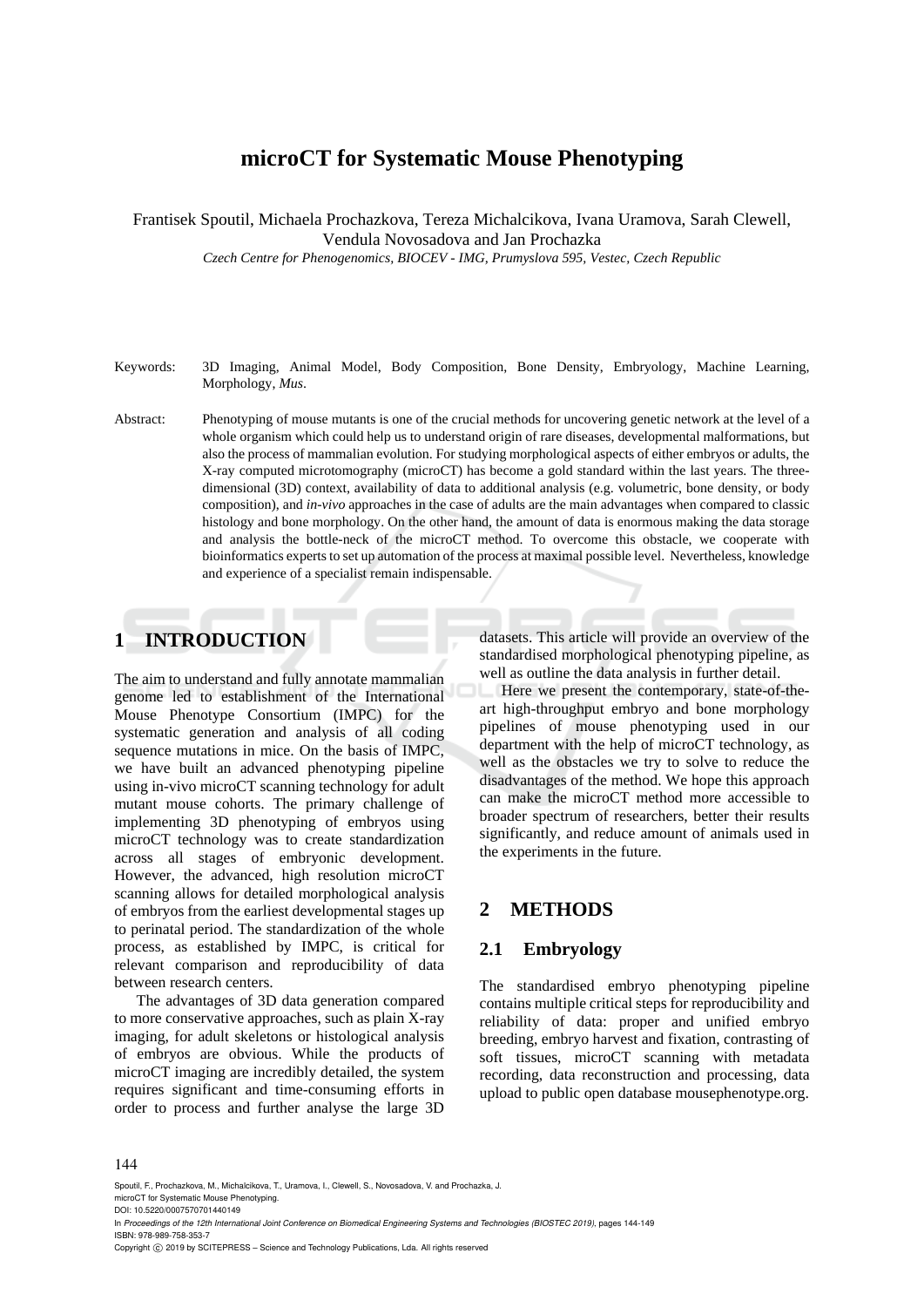# **microCT for Systematic Mouse Phenotyping**

Frantisek Spoutil, Michaela Prochazkova, Tereza Michalcikova, Ivana Uramova, Sarah Clewell, Vendula Novosadova and Jan Prochazka

*Czech Centre for Phenogenomics, BIOCEV - IMG, Prumyslova 595, Vestec, Czech Republic* 

- Keywords: 3D Imaging, Animal Model, Body Composition, Bone Density, Embryology, Machine Learning, Morphology, *Mus*.
- Abstract: Phenotyping of mouse mutants is one of the crucial methods for uncovering genetic network at the level of a whole organism which could help us to understand origin of rare diseases, developmental malformations, but also the process of mammalian evolution. For studying morphological aspects of either embryos or adults, the X-ray computed microtomography (microCT) has become a gold standard within the last years. The threedimensional (3D) context, availability of data to additional analysis (e.g. volumetric, bone density, or body composition), and *in-vivo* approaches in the case of adults are the main advantages when compared to classic histology and bone morphology. On the other hand, the amount of data is enormous making the data storage and analysis the bottle-neck of the microCT method. To overcome this obstacle, we cooperate with bioinformatics experts to set up automation of the process at maximal possible level. Nevertheless, knowledge and experience of a specialist remain indispensable.

# **1 INTRODUCTION**

The aim to understand and fully annotate mammalian genome led to establishment of the International Mouse Phenotype Consortium (IMPC) for the systematic generation and analysis of all coding sequence mutations in mice. On the basis of IMPC, we have built an advanced phenotyping pipeline using in-vivo microCT scanning technology for adult mutant mouse cohorts. The primary challenge of implementing 3D phenotyping of embryos using microCT technology was to create standardization across all stages of embryonic development. However, the advanced, high resolution microCT scanning allows for detailed morphological analysis of embryos from the earliest developmental stages up to perinatal period. The standardization of the whole process, as established by IMPC, is critical for relevant comparison and reproducibility of data between research centers.

The advantages of 3D data generation compared to more conservative approaches, such as plain X-ray imaging, for adult skeletons or histological analysis of embryos are obvious. While the products of microCT imaging are incredibly detailed, the system requires significant and time-consuming efforts in order to process and further analyse the large 3D

datasets. This article will provide an overview of the standardised morphological phenotyping pipeline, as well as outline the data analysis in further detail.

Here we present the contemporary, state-of-theart high-throughput embryo and bone morphology pipelines of mouse phenotyping used in our department with the help of microCT technology, as well as the obstacles we try to solve to reduce the disadvantages of the method. We hope this approach can make the microCT method more accessible to broader spectrum of researchers, better their results significantly, and reduce amount of animals used in the experiments in the future.

## **2 METHODS**

## **2.1 Embryology**

The standardised embryo phenotyping pipeline contains multiple critical steps for reproducibility and reliability of data: proper and unified embryo breeding, embryo harvest and fixation, contrasting of soft tissues, microCT scanning with metadata recording, data reconstruction and processing, data upload to public open database mousephenotype.org.

#### 144

Spoutil, F., Prochazkova, M., Michalcikova, T., Uramova, I., Clewell, S., Novosadova, V. and Prochazka, J.

microCT for Systematic Mouse Phenotyping. DOI: 10.5220/0007570701440149

Copyright © 2019 by SCITEPRESS - Science and Technology Publications, Lda. All rights reserved

In *Proceedings of the 12th International Joint Conference on Biomedical Engineering Systems and Technologies (BIOSTEC 2019)*, pages 144-149 ISBN: 978-989-758-353-7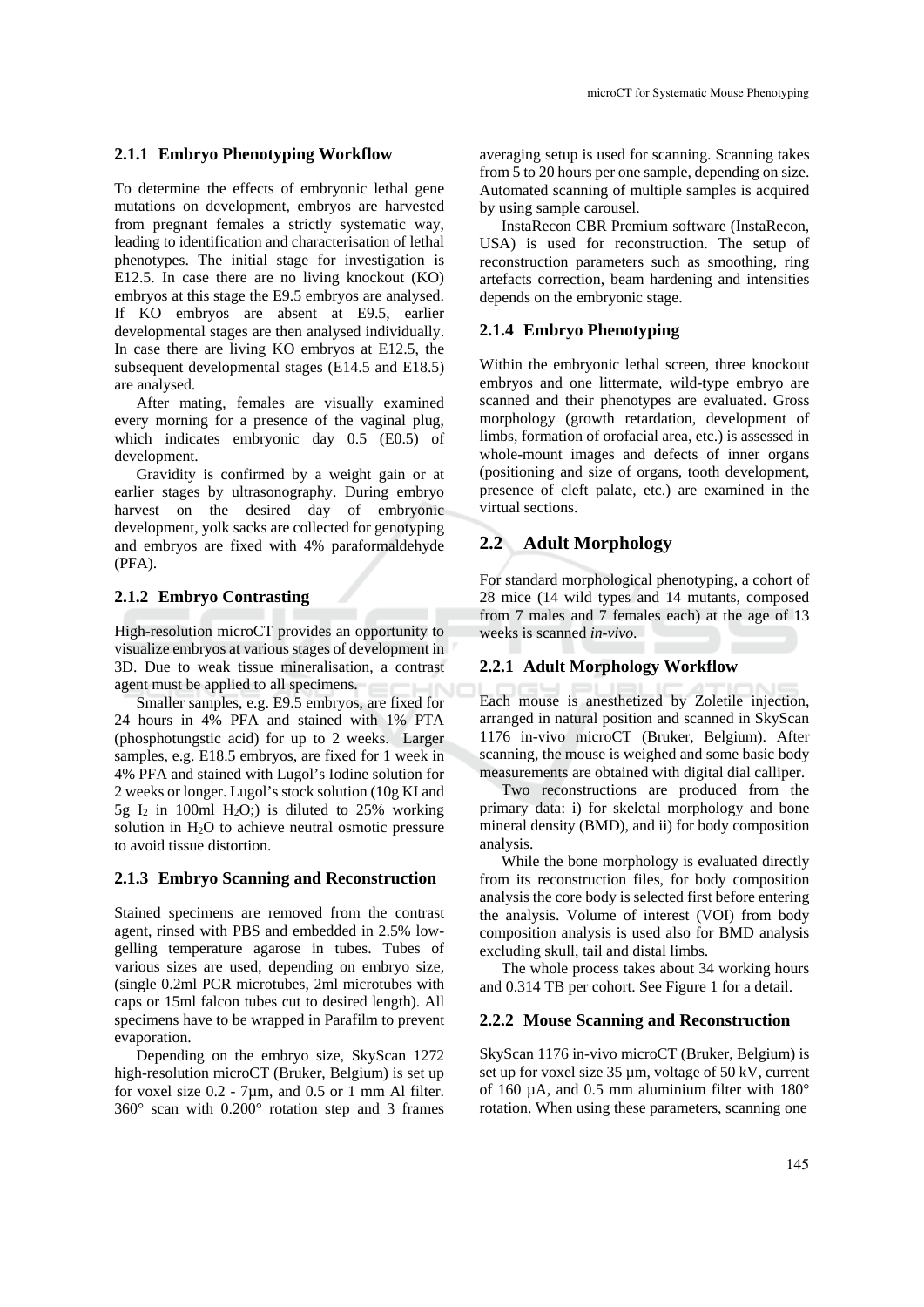## **2.1.1 Embryo Phenotyping Workflow**

To determine the effects of embryonic lethal gene mutations on development, embryos are harvested from pregnant females a strictly systematic way, leading to identification and characterisation of lethal phenotypes. The initial stage for investigation is E12.5. In case there are no living knockout (KO) embryos at this stage the E9.5 embryos are analysed. If KO embryos are absent at E9.5, earlier developmental stages are then analysed individually. In case there are living KO embryos at E12.5, the subsequent developmental stages (E14.5 and E18.5) are analysed.

After mating, females are visually examined every morning for a presence of the vaginal plug, which indicates embryonic day 0.5 (E0.5) of development.

Gravidity is confirmed by a weight gain or at earlier stages by ultrasonography. During embryo harvest on the desired day of embryonic development, yolk sacks are collected for genotyping and embryos are fixed with 4% paraformaldehyde (PFA).

## **2.1.2 Embryo Contrasting**

High-resolution microCT provides an opportunity to visualize embryos at various stages of development in 3D. Due to weak tissue mineralisation, a contrast agent must be applied to all specimens.

Smaller samples, e.g. E9.5 embryos, are fixed for 24 hours in 4% PFA and stained with 1% PTA (phosphotungstic acid) for up to 2 weeks. Larger samples, e.g. E18.5 embryos, are fixed for 1 week in 4% PFA and stained with Lugol's Iodine solution for 2 weeks or longer. Lugol's stock solution (10g KI and 5g  $I_2$  in 100ml H<sub>2</sub>O;) is diluted to 25% working solution in  $H<sub>2</sub>O$  to achieve neutral osmotic pressure to avoid tissue distortion.

### **2.1.3 Embryo Scanning and Reconstruction**

Stained specimens are removed from the contrast agent, rinsed with PBS and embedded in 2.5% lowgelling temperature agarose in tubes. Tubes of various sizes are used, depending on embryo size, (single 0.2ml PCR microtubes, 2ml microtubes with caps or 15ml falcon tubes cut to desired length). All specimens have to be wrapped in Parafilm to prevent evaporation.

Depending on the embryo size, SkyScan 1272 high-resolution microCT (Bruker, Belgium) is set up for voxel size  $0.2$  - 7 $\mu$ m, and  $0.5$  or 1 mm Al filter. 360° scan with 0.200° rotation step and 3 frames

averaging setup is used for scanning. Scanning takes from 5 to 20 hours per one sample, depending on size. Automated scanning of multiple samples is acquired by using sample carousel.

InstaRecon CBR Premium software (InstaRecon, USA) is used for reconstruction. The setup of reconstruction parameters such as smoothing, ring artefacts correction, beam hardening and intensities depends on the embryonic stage.

## **2.1.4 Embryo Phenotyping**

Within the embryonic lethal screen, three knockout embryos and one littermate, wild-type embryo are scanned and their phenotypes are evaluated. Gross morphology (growth retardation, development of limbs, formation of orofacial area, etc.) is assessed in whole-mount images and defects of inner organs (positioning and size of organs, tooth development, presence of cleft palate, etc.) are examined in the virtual sections.

## **2.2 Adult Morphology**

For standard morphological phenotyping, a cohort of 28 mice (14 wild types and 14 mutants, composed from 7 males and 7 females each) at the age of 13 weeks is scanned *in-vivo*.

### **2.2.1 Adult Morphology Workflow**

Each mouse is anesthetized by Zoletile injection, arranged in natural position and scanned in SkyScan 1176 in-vivo microCT (Bruker, Belgium). After scanning, the mouse is weighed and some basic body measurements are obtained with digital dial calliper.

Two reconstructions are produced from the primary data: i) for skeletal morphology and bone mineral density (BMD), and ii) for body composition analysis.

While the bone morphology is evaluated directly from its reconstruction files, for body composition analysis the core body is selected first before entering the analysis. Volume of interest (VOI) from body composition analysis is used also for BMD analysis excluding skull, tail and distal limbs.

The whole process takes about 34 working hours and 0.314 TB per cohort. See Figure 1 for a detail.

#### **2.2.2 Mouse Scanning and Reconstruction**

SkyScan 1176 in-vivo microCT (Bruker, Belgium) is set up for voxel size 35 µm, voltage of 50 kV, current of 160 µA, and 0.5 mm aluminium filter with 180° rotation. When using these parameters, scanning one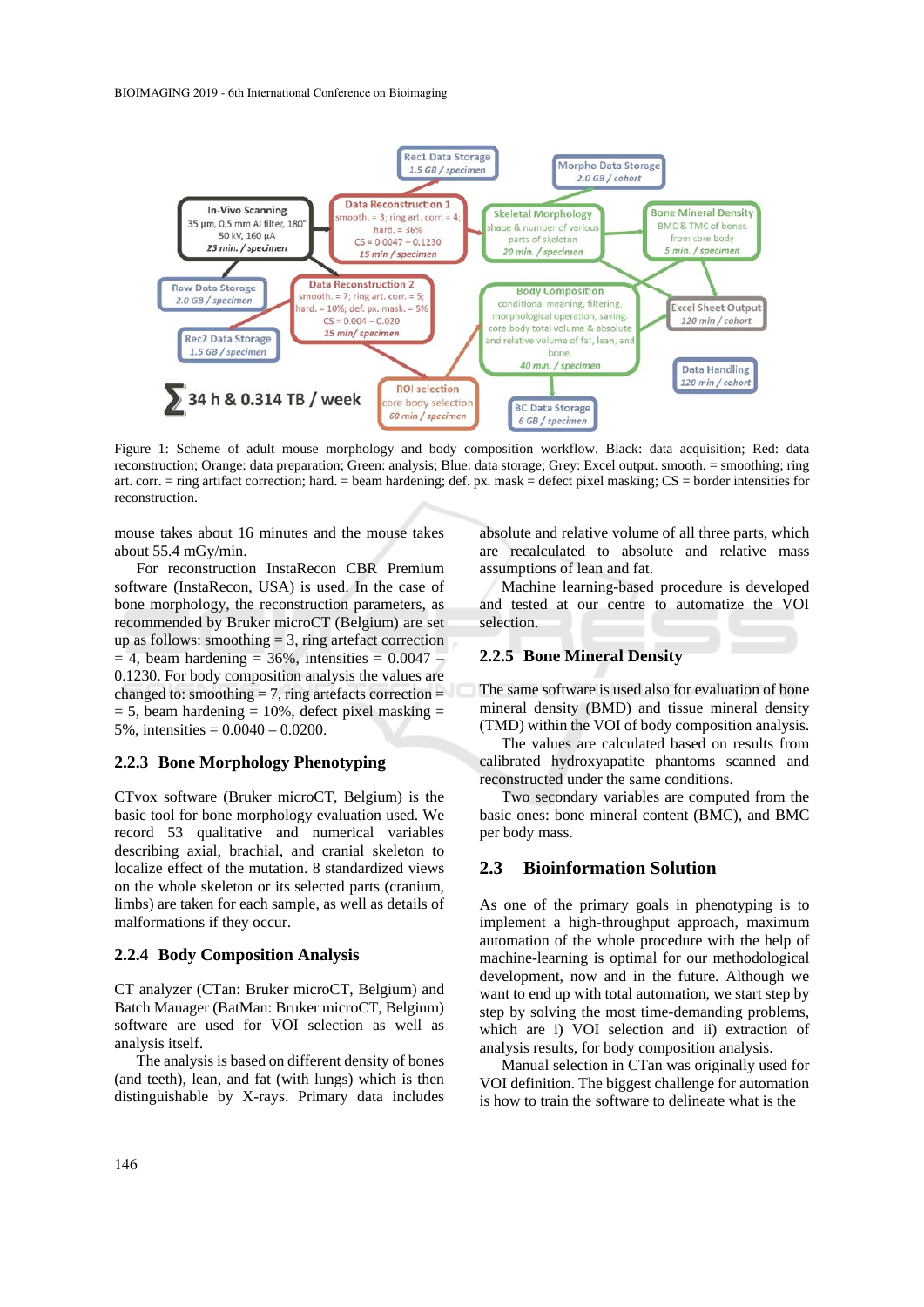

Figure 1: Scheme of adult mouse morphology and body composition workflow. Black: data acquisition; Red: data reconstruction; Orange: data preparation; Green: analysis; Blue: data storage; Grey: Excel output. smooth. = smoothing; ring art. corr. = ring artifact correction; hard. = beam hardening; def. px. mask = defect pixel masking; CS = border intensities for reconstruction.

mouse takes about 16 minutes and the mouse takes about 55.4 mGy/min.

For reconstruction InstaRecon CBR Premium software (InstaRecon, USA) is used. In the case of bone morphology, the reconstruction parameters, as recommended by Bruker microCT (Belgium) are set up as follows: smoothing  $= 3$ , ring artefact correction  $= 4$ , beam hardening  $= 36\%$ , intensities  $= 0.0047$  – 0.1230. For body composition analysis the values are changed to: smoothing  $= 7$ , ring artefacts correction  $=$  $= 5$ , beam hardening  $= 10\%$ , defect pixel masking  $=$ 5%, intensities  $= 0.0040 - 0.0200$ .

## **2.2.3 Bone Morphology Phenotyping**

CTvox software (Bruker microCT, Belgium) is the basic tool for bone morphology evaluation used. We record 53 qualitative and numerical variables describing axial, brachial, and cranial skeleton to localize effect of the mutation. 8 standardized views on the whole skeleton or its selected parts (cranium, limbs) are taken for each sample, as well as details of malformations if they occur.

#### **2.2.4 Body Composition Analysis**

CT analyzer (CTan: Bruker microCT, Belgium) and Batch Manager (BatMan: Bruker microCT, Belgium) software are used for VOI selection as well as analysis itself.

The analysis is based on different density of bones (and teeth), lean, and fat (with lungs) which is then distinguishable by X-rays. Primary data includes absolute and relative volume of all three parts, which are recalculated to absolute and relative mass assumptions of lean and fat.

Machine learning-based procedure is developed and tested at our centre to automatize the VOI selection.

## **2.2.5 Bone Mineral Density**

The same software is used also for evaluation of bone mineral density (BMD) and tissue mineral density (TMD) within the VOI of body composition analysis.

The values are calculated based on results from calibrated hydroxyapatite phantoms scanned and reconstructed under the same conditions.

Two secondary variables are computed from the basic ones: bone mineral content (BMC), and BMC per body mass.

## **2.3 Bioinformation Solution**

As one of the primary goals in phenotyping is to implement a high-throughput approach, maximum automation of the whole procedure with the help of machine-learning is optimal for our methodological development, now and in the future. Although we want to end up with total automation, we start step by step by solving the most time-demanding problems, which are i) VOI selection and ii) extraction of analysis results, for body composition analysis.

Manual selection in CTan was originally used for VOI definition. The biggest challenge for automation is how to train the software to delineate what is the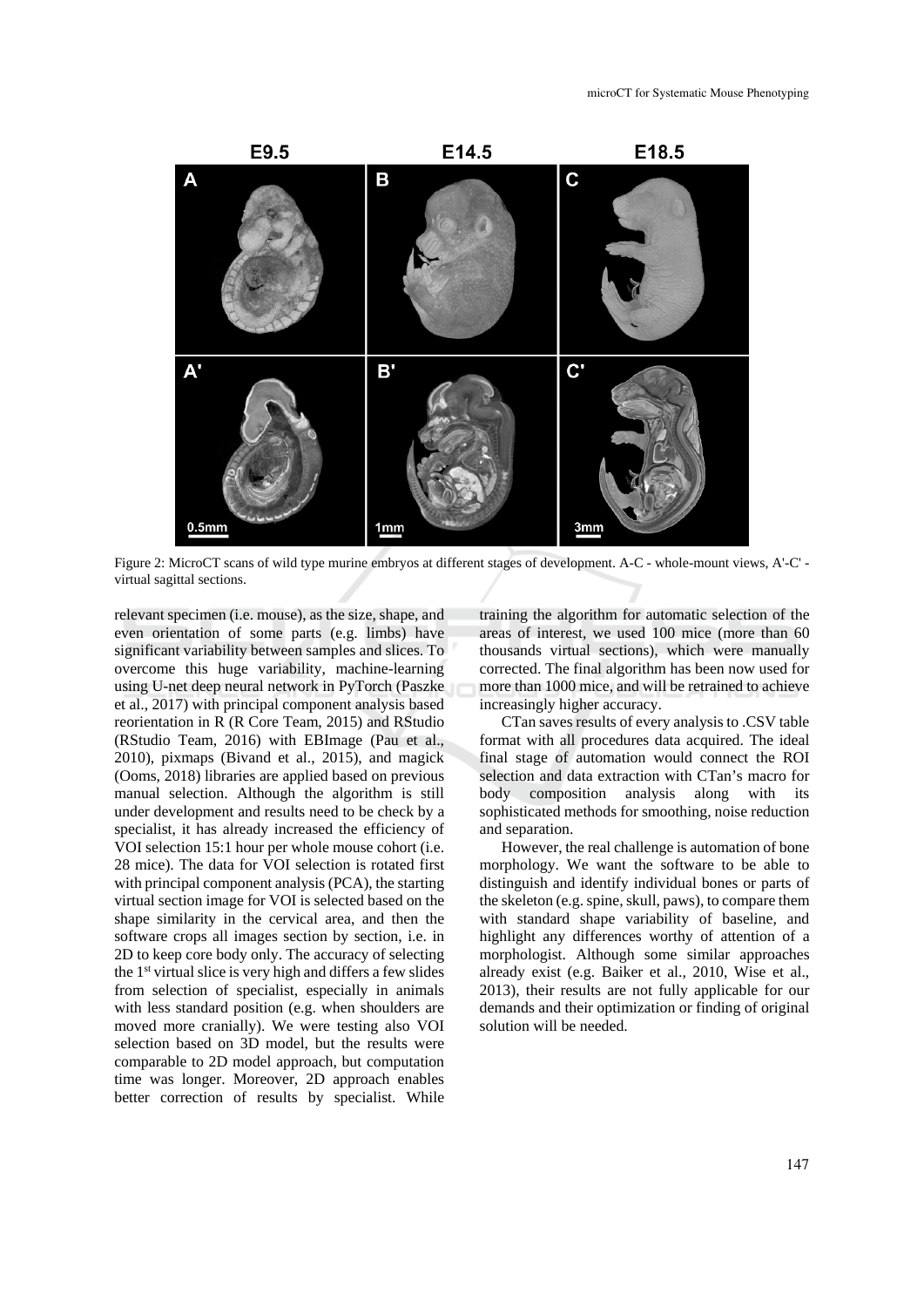

Figure 2: MicroCT scans of wild type murine embryos at different stages of development. A-C - whole-mount views, A'-C' virtual sagittal sections.

relevant specimen (i.e. mouse), as the size, shape, and even orientation of some parts (e.g. limbs) have significant variability between samples and slices. To overcome this huge variability, machine-learning using U-net deep neural network in PyTorch (Paszke et al., 2017) with principal component analysis based reorientation in R (R Core Team, 2015) and RStudio (RStudio Team, 2016) with EBImage (Pau et al., 2010), pixmaps (Bivand et al., 2015), and magick (Ooms, 2018) libraries are applied based on previous manual selection. Although the algorithm is still under development and results need to be check by a specialist, it has already increased the efficiency of VOI selection 15:1 hour per whole mouse cohort (i.e. 28 mice). The data for VOI selection is rotated first with principal component analysis (PCA), the starting virtual section image for VOI is selected based on the shape similarity in the cervical area, and then the software crops all images section by section, i.e. in 2D to keep core body only. The accuracy of selecting the 1st virtual slice is very high and differs a few slides from selection of specialist, especially in animals with less standard position (e.g. when shoulders are moved more cranially). We were testing also VOI selection based on 3D model, but the results were comparable to 2D model approach, but computation time was longer. Moreover, 2D approach enables better correction of results by specialist. While

training the algorithm for automatic selection of the areas of interest, we used 100 mice (more than 60 thousands virtual sections), which were manually corrected. The final algorithm has been now used for more than 1000 mice, and will be retrained to achieve increasingly higher accuracy.

CTan saves results of every analysis to .CSV table format with all procedures data acquired. The ideal final stage of automation would connect the ROI selection and data extraction with CTan's macro for body composition analysis along with its sophisticated methods for smoothing, noise reduction and separation.

However, the real challenge is automation of bone morphology. We want the software to be able to distinguish and identify individual bones or parts of the skeleton (e.g. spine, skull, paws), to compare them with standard shape variability of baseline, and highlight any differences worthy of attention of a morphologist. Although some similar approaches already exist (e.g. Baiker et al., 2010, Wise et al., 2013), their results are not fully applicable for our demands and their optimization or finding of original solution will be needed.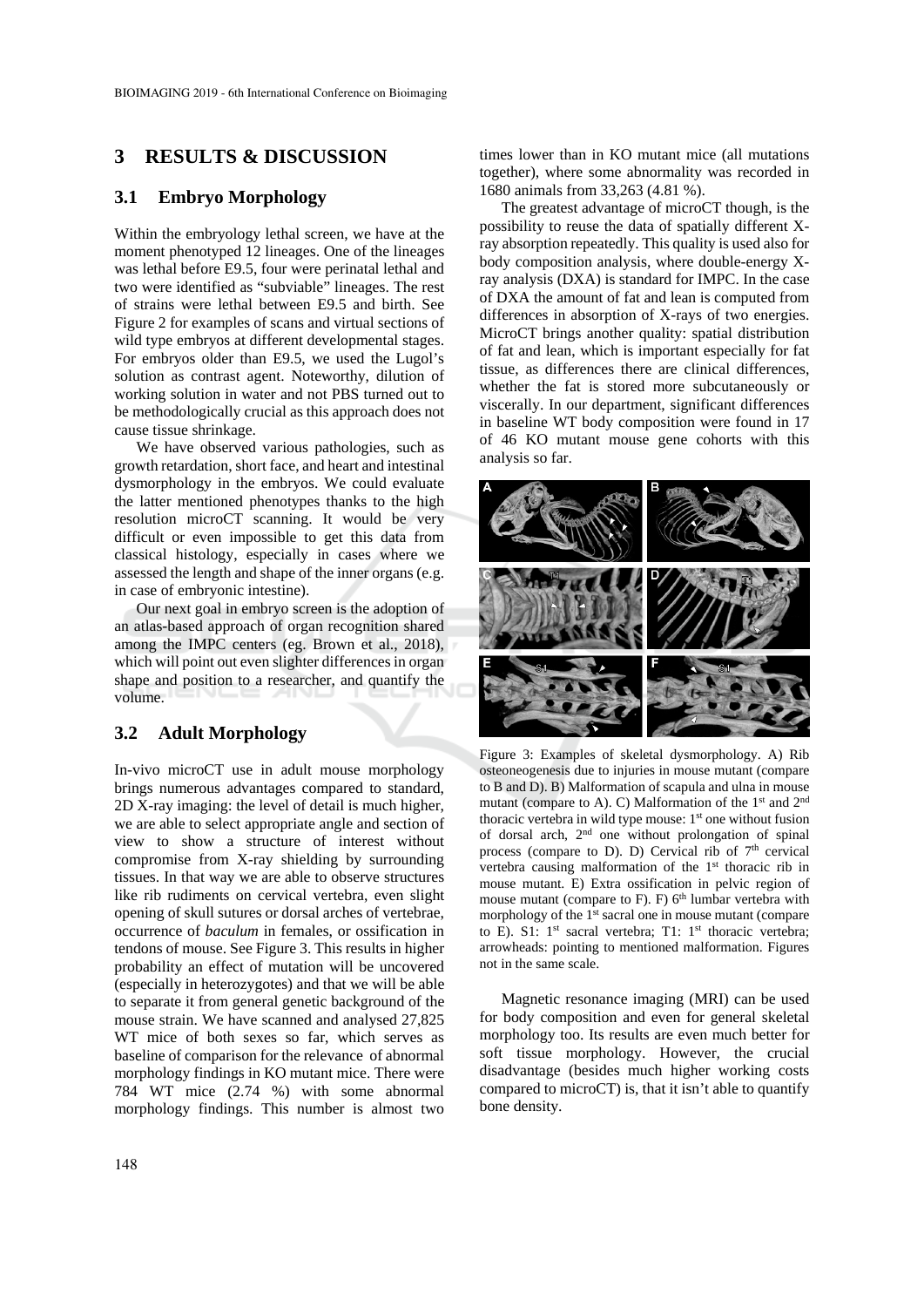## **3 RESULTS & DISCUSSION**

## **3.1 Embryo Morphology**

Within the embryology lethal screen, we have at the moment phenotyped 12 lineages. One of the lineages was lethal before E9.5, four were perinatal lethal and two were identified as "subviable" lineages. The rest of strains were lethal between E9.5 and birth. See Figure 2 for examples of scans and virtual sections of wild type embryos at different developmental stages. For embryos older than E9.5, we used the Lugol's solution as contrast agent. Noteworthy, dilution of working solution in water and not PBS turned out to be methodologically crucial as this approach does not cause tissue shrinkage.

We have observed various pathologies, such as growth retardation, short face, and heart and intestinal dysmorphology in the embryos. We could evaluate the latter mentioned phenotypes thanks to the high resolution microCT scanning. It would be very difficult or even impossible to get this data from classical histology, especially in cases where we assessed the length and shape of the inner organs (e.g. in case of embryonic intestine).

Our next goal in embryo screen is the adoption of an atlas-based approach of organ recognition shared among the IMPC centers (eg. Brown et al., 2018), which will point out even slighter differences in organ shape and position to a researcher, and quantify the volume.

## **3.2 Adult Morphology**

In-vivo microCT use in adult mouse morphology brings numerous advantages compared to standard, 2D X-ray imaging: the level of detail is much higher, we are able to select appropriate angle and section of view to show a structure of interest without compromise from X-ray shielding by surrounding tissues. In that way we are able to observe structures like rib rudiments on cervical vertebra, even slight opening of skull sutures or dorsal arches of vertebrae, occurrence of *baculum* in females, or ossification in tendons of mouse. See Figure 3. This results in higher probability an effect of mutation will be uncovered (especially in heterozygotes) and that we will be able to separate it from general genetic background of the mouse strain. We have scanned and analysed 27,825 WT mice of both sexes so far, which serves as baseline of comparison for the relevance of abnormal morphology findings in KO mutant mice. There were 784 WT mice (2.74 %) with some abnormal morphology findings. This number is almost two

times lower than in KO mutant mice (all mutations together), where some abnormality was recorded in 1680 animals from 33,263 (4.81 %).

The greatest advantage of microCT though, is the possibility to reuse the data of spatially different Xray absorption repeatedly. This quality is used also for body composition analysis, where double-energy Xray analysis (DXA) is standard for IMPC. In the case of DXA the amount of fat and lean is computed from differences in absorption of X-rays of two energies. MicroCT brings another quality: spatial distribution of fat and lean, which is important especially for fat tissue, as differences there are clinical differences, whether the fat is stored more subcutaneously or viscerally. In our department, significant differences in baseline WT body composition were found in 17 of 46 KO mutant mouse gene cohorts with this analysis so far.



Figure 3: Examples of skeletal dysmorphology. A) Rib osteoneogenesis due to injuries in mouse mutant (compare to B and D). B) Malformation of scapula and ulna in mouse mutant (compare to A). C) Malformation of the 1<sup>st</sup> and 2<sup>nd</sup> thoracic vertebra in wild type mouse:  $1<sup>st</sup>$  one without fusion of dorsal arch, 2nd one without prolongation of spinal process (compare to D). D) Cervical rib of  $7<sup>th</sup>$  cervical vertebra causing malformation of the 1<sup>st</sup> thoracic rib in mouse mutant. E) Extra ossification in pelvic region of mouse mutant (compare to F). F)  $6<sup>th</sup>$  lumbar vertebra with morphology of the 1<sup>st</sup> sacral one in mouse mutant (compare to E). S1:  $1<sup>st</sup>$  sacral vertebra; T1:  $1<sup>st</sup>$  thoracic vertebra; arrowheads: pointing to mentioned malformation. Figures not in the same scale.

Magnetic resonance imaging (MRI) can be used for body composition and even for general skeletal morphology too. Its results are even much better for soft tissue morphology. However, the crucial disadvantage (besides much higher working costs compared to microCT) is, that it isn't able to quantify bone density.